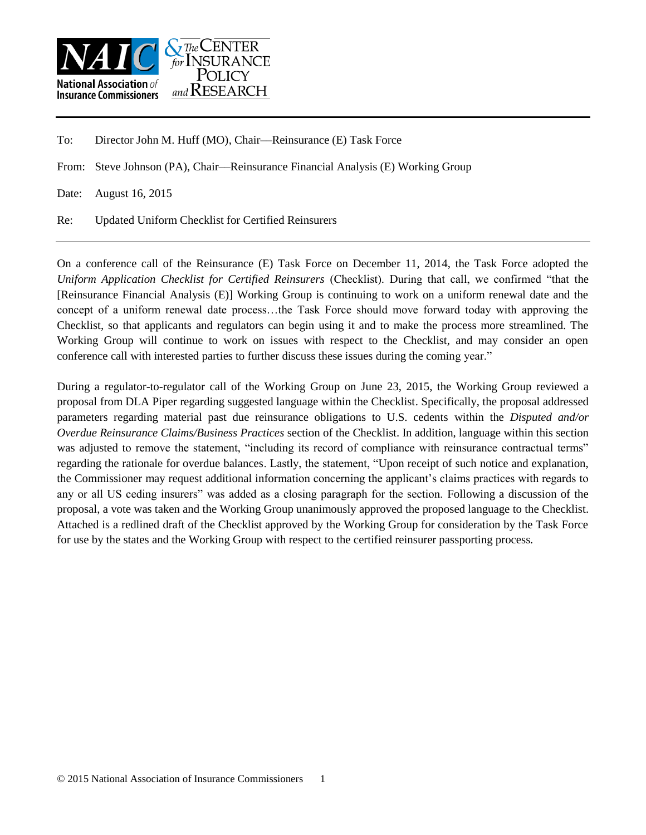

To: Director John M. Huff (MO), Chair––Reinsurance (E) Task Force

From: Steve Johnson (PA), Chair––Reinsurance Financial Analysis (E) Working Group

Date: August 16, 2015

Re: Updated Uniform Checklist for Certified Reinsurers

On a conference call of the Reinsurance (E) Task Force on December 11, 2014, the Task Force adopted the *Uniform Application Checklist for Certified Reinsurers* (Checklist). During that call, we confirmed "that the [Reinsurance Financial Analysis (E)] Working Group is continuing to work on a uniform renewal date and the concept of a uniform renewal date process…the Task Force should move forward today with approving the Checklist, so that applicants and regulators can begin using it and to make the process more streamlined. The Working Group will continue to work on issues with respect to the Checklist, and may consider an open conference call with interested parties to further discuss these issues during the coming year."

During a regulator-to-regulator call of the Working Group on June 23, 2015, the Working Group reviewed a proposal from DLA Piper regarding suggested language within the Checklist. Specifically, the proposal addressed parameters regarding material past due reinsurance obligations to U.S. cedents within the *Disputed and/or Overdue Reinsurance Claims/Business Practices* section of the Checklist. In addition, language within this section was adjusted to remove the statement, "including its record of compliance with reinsurance contractual terms" regarding the rationale for overdue balances. Lastly, the statement, "Upon receipt of such notice and explanation, the Commissioner may request additional information concerning the applicant's claims practices with regards to any or all US ceding insurers" was added as a closing paragraph for the section. Following a discussion of the proposal, a vote was taken and the Working Group unanimously approved the proposed language to the Checklist. Attached is a redlined draft of the Checklist approved by the Working Group for consideration by the Task Force for use by the states and the Working Group with respect to the certified reinsurer passporting process.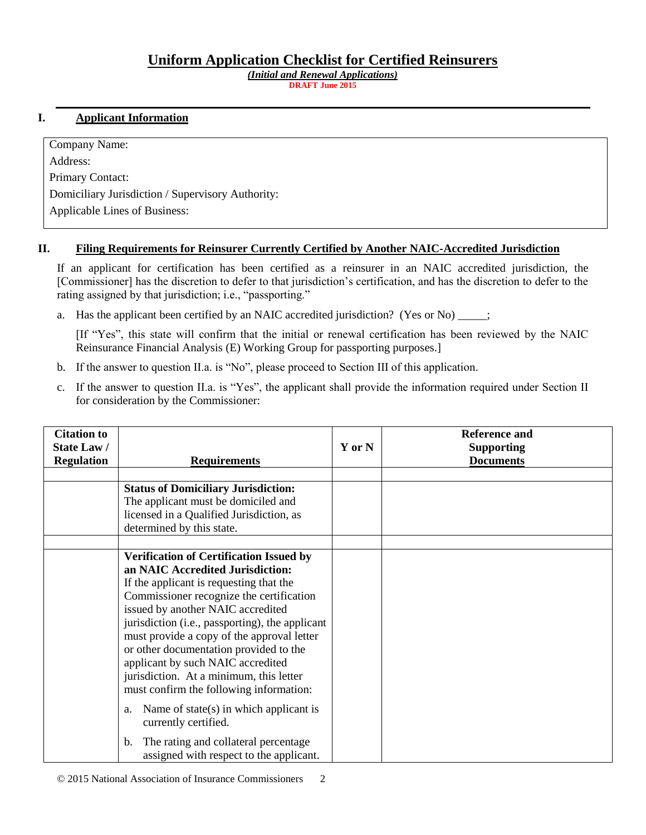## **Uniform Application Checklist for Certified Reinsurers**

*(Initial and Renewal Applications)* **DRAFT June 2015**

## **I. Applicant Information**

Company Name: Address: Primary Contact: Domiciliary Jurisdiction / Supervisory Authority: Applicable Lines of Business:

## **II. Filing Requirements for Reinsurer Currently Certified by Another NAIC-Accredited Jurisdiction**

If an applicant for certification has been certified as a reinsurer in an NAIC accredited jurisdiction, the [Commissioner] has the discretion to defer to that jurisdiction's certification, and has the discretion to defer to the rating assigned by that jurisdiction; i.e., "passporting."

a. Has the applicant been certified by an NAIC accredited jurisdiction? (Yes or No)  $\ddots$ 

[If "Yes", this state will confirm that the initial or renewal certification has been reviewed by the NAIC Reinsurance Financial Analysis (E) Working Group for passporting purposes.]

- b. If the answer to question II.a. is "No", please proceed to Section III of this application.
- c. If the answer to question II.a. is "Yes", the applicant shall provide the information required under Section II for consideration by the Commissioner:

| <b>Citation to</b><br>State Law/<br><b>Regulation</b> | <b>Requirements</b>                                                                                                                                                                                                                                                                                                                                                                                                                                                                  | Y or N | <b>Reference and</b><br><b>Supporting</b><br><b>Documents</b> |
|-------------------------------------------------------|--------------------------------------------------------------------------------------------------------------------------------------------------------------------------------------------------------------------------------------------------------------------------------------------------------------------------------------------------------------------------------------------------------------------------------------------------------------------------------------|--------|---------------------------------------------------------------|
|                                                       |                                                                                                                                                                                                                                                                                                                                                                                                                                                                                      |        |                                                               |
|                                                       | <b>Status of Domiciliary Jurisdiction:</b><br>The applicant must be domiciled and<br>licensed in a Qualified Jurisdiction, as<br>determined by this state.                                                                                                                                                                                                                                                                                                                           |        |                                                               |
|                                                       | <b>Verification of Certification Issued by</b><br>an NAIC Accredited Jurisdiction:<br>If the applicant is requesting that the<br>Commissioner recognize the certification<br>issued by another NAIC accredited<br>jurisdiction (i.e., passporting), the applicant<br>must provide a copy of the approval letter<br>or other documentation provided to the<br>applicant by such NAIC accredited<br>jurisdiction. At a minimum, this letter<br>must confirm the following information: |        |                                                               |
|                                                       | Name of $state(s)$ in which applicant is<br>a.<br>currently certified.                                                                                                                                                                                                                                                                                                                                                                                                               |        |                                                               |
|                                                       | The rating and collateral percentage<br>$\mathbf{b}$ .<br>assigned with respect to the applicant.                                                                                                                                                                                                                                                                                                                                                                                    |        |                                                               |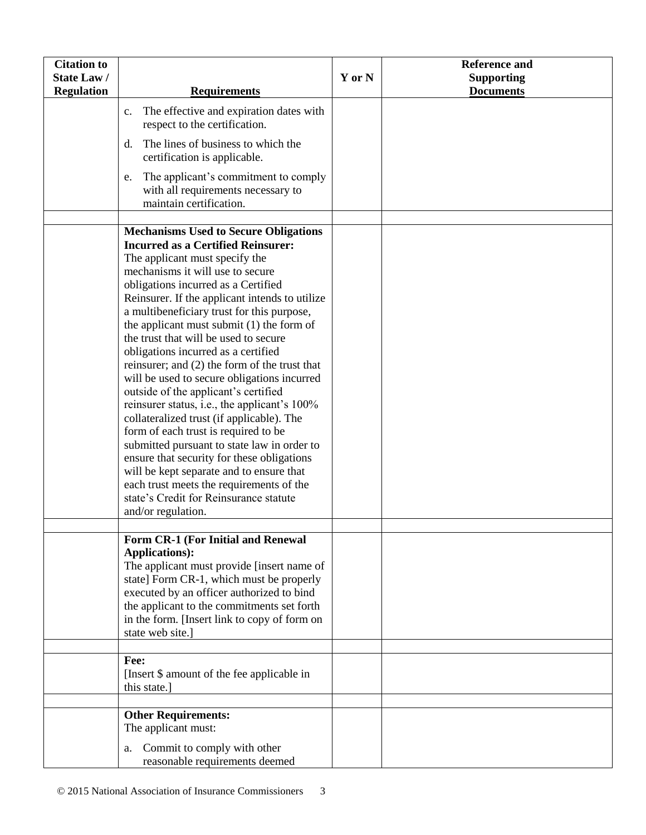| <b>Citation to</b> |                                                                                                                                                                                                                                                                                                                                                                                                                                                                                                                                                                                                                                                                                                                                                                                                                                                                                                                                                                         |        | <b>Reference and</b> |
|--------------------|-------------------------------------------------------------------------------------------------------------------------------------------------------------------------------------------------------------------------------------------------------------------------------------------------------------------------------------------------------------------------------------------------------------------------------------------------------------------------------------------------------------------------------------------------------------------------------------------------------------------------------------------------------------------------------------------------------------------------------------------------------------------------------------------------------------------------------------------------------------------------------------------------------------------------------------------------------------------------|--------|----------------------|
| <b>State Law/</b>  |                                                                                                                                                                                                                                                                                                                                                                                                                                                                                                                                                                                                                                                                                                                                                                                                                                                                                                                                                                         | Y or N | <b>Supporting</b>    |
| <b>Regulation</b>  | <b>Requirements</b>                                                                                                                                                                                                                                                                                                                                                                                                                                                                                                                                                                                                                                                                                                                                                                                                                                                                                                                                                     |        | <b>Documents</b>     |
|                    | The effective and expiration dates with<br>c.<br>respect to the certification.                                                                                                                                                                                                                                                                                                                                                                                                                                                                                                                                                                                                                                                                                                                                                                                                                                                                                          |        |                      |
|                    | The lines of business to which the<br>d.<br>certification is applicable.                                                                                                                                                                                                                                                                                                                                                                                                                                                                                                                                                                                                                                                                                                                                                                                                                                                                                                |        |                      |
|                    | The applicant's commitment to comply<br>e.<br>with all requirements necessary to<br>maintain certification.                                                                                                                                                                                                                                                                                                                                                                                                                                                                                                                                                                                                                                                                                                                                                                                                                                                             |        |                      |
|                    |                                                                                                                                                                                                                                                                                                                                                                                                                                                                                                                                                                                                                                                                                                                                                                                                                                                                                                                                                                         |        |                      |
|                    | <b>Mechanisms Used to Secure Obligations</b><br><b>Incurred as a Certified Reinsurer:</b><br>The applicant must specify the<br>mechanisms it will use to secure<br>obligations incurred as a Certified<br>Reinsurer. If the applicant intends to utilize<br>a multibeneficiary trust for this purpose,<br>the applicant must submit $(1)$ the form of<br>the trust that will be used to secure<br>obligations incurred as a certified<br>reinsurer; and (2) the form of the trust that<br>will be used to secure obligations incurred<br>outside of the applicant's certified<br>reinsurer status, i.e., the applicant's 100%<br>collateralized trust (if applicable). The<br>form of each trust is required to be<br>submitted pursuant to state law in order to<br>ensure that security for these obligations<br>will be kept separate and to ensure that<br>each trust meets the requirements of the<br>state's Credit for Reinsurance statute<br>and/or regulation. |        |                      |
|                    |                                                                                                                                                                                                                                                                                                                                                                                                                                                                                                                                                                                                                                                                                                                                                                                                                                                                                                                                                                         |        |                      |
|                    | Form CR-1 (For Initial and Renewal<br><b>Applications):</b><br>The applicant must provide [insert name of<br>state] Form CR-1, which must be properly<br>executed by an officer authorized to bind<br>the applicant to the commitments set forth<br>in the form. [Insert link to copy of form on<br>state web site.]                                                                                                                                                                                                                                                                                                                                                                                                                                                                                                                                                                                                                                                    |        |                      |
|                    |                                                                                                                                                                                                                                                                                                                                                                                                                                                                                                                                                                                                                                                                                                                                                                                                                                                                                                                                                                         |        |                      |
|                    | Fee:<br>[Insert \$ amount of the fee applicable in<br>this state.]                                                                                                                                                                                                                                                                                                                                                                                                                                                                                                                                                                                                                                                                                                                                                                                                                                                                                                      |        |                      |
|                    |                                                                                                                                                                                                                                                                                                                                                                                                                                                                                                                                                                                                                                                                                                                                                                                                                                                                                                                                                                         |        |                      |
|                    | <b>Other Requirements:</b><br>The applicant must:<br>Commit to comply with other<br>a.                                                                                                                                                                                                                                                                                                                                                                                                                                                                                                                                                                                                                                                                                                                                                                                                                                                                                  |        |                      |
|                    | reasonable requirements deemed                                                                                                                                                                                                                                                                                                                                                                                                                                                                                                                                                                                                                                                                                                                                                                                                                                                                                                                                          |        |                      |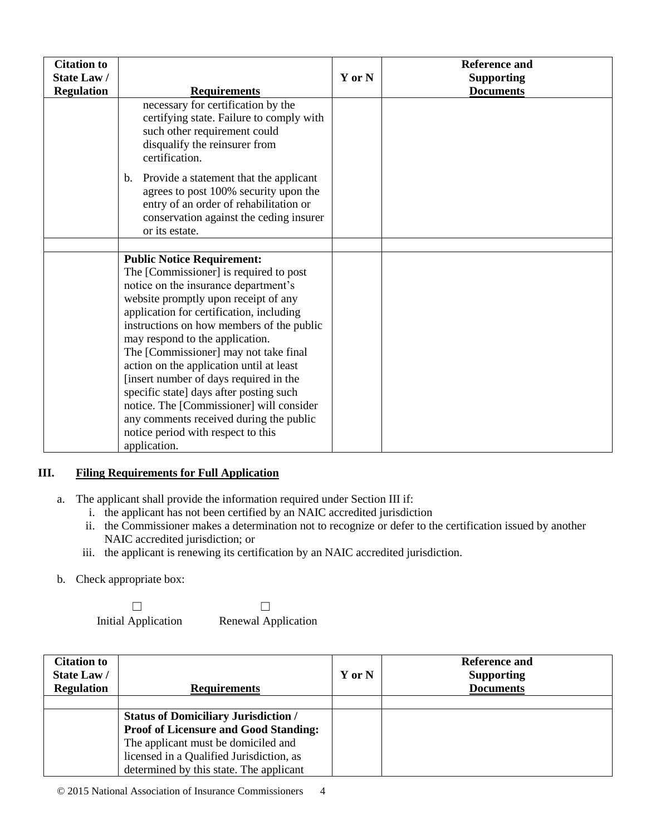| <b>Citation to</b><br><b>State Law/</b><br><b>Regulation</b> | <b>Requirements</b>                                                                                                                                                                                                                                                                                                                                                                                                                                                                                                                                                                                            | Y or N | <b>Reference and</b><br><b>Supporting</b><br><b>Documents</b> |
|--------------------------------------------------------------|----------------------------------------------------------------------------------------------------------------------------------------------------------------------------------------------------------------------------------------------------------------------------------------------------------------------------------------------------------------------------------------------------------------------------------------------------------------------------------------------------------------------------------------------------------------------------------------------------------------|--------|---------------------------------------------------------------|
|                                                              | necessary for certification by the<br>certifying state. Failure to comply with<br>such other requirement could<br>disqualify the reinsurer from<br>certification.                                                                                                                                                                                                                                                                                                                                                                                                                                              |        |                                                               |
|                                                              | Provide a statement that the applicant<br>$\mathbf{b}$ .<br>agrees to post 100% security upon the<br>entry of an order of rehabilitation or<br>conservation against the ceding insurer<br>or its estate.                                                                                                                                                                                                                                                                                                                                                                                                       |        |                                                               |
|                                                              |                                                                                                                                                                                                                                                                                                                                                                                                                                                                                                                                                                                                                |        |                                                               |
|                                                              | <b>Public Notice Requirement:</b><br>The [Commissioner] is required to post<br>notice on the insurance department's<br>website promptly upon receipt of any<br>application for certification, including<br>instructions on how members of the public<br>may respond to the application.<br>The [Commissioner] may not take final<br>action on the application until at least<br>[insert number of days required in the<br>specific state] days after posting such<br>notice. The [Commissioner] will consider<br>any comments received during the public<br>notice period with respect to this<br>application. |        |                                                               |

## **III. Filing Requirements for Full Application**

- a. The applicant shall provide the information required under Section III if:
	- i. the applicant has not been certified by an NAIC accredited jurisdiction
	- ii. the Commissioner makes a determination not to recognize or defer to the certification issued by another NAIC accredited jurisdiction; or
	- iii. the applicant is renewing its certification by an NAIC accredited jurisdiction.
- b. Check appropriate box:

 $\Box$ Initial Application

☐ Renewal Application

| <b>Citation to</b><br>State Law/<br><b>Regulation</b> | <b>Requirements</b>                          | Y or N | Reference and<br><b>Supporting</b><br><b>Documents</b> |
|-------------------------------------------------------|----------------------------------------------|--------|--------------------------------------------------------|
|                                                       |                                              |        |                                                        |
|                                                       | <b>Status of Domiciliary Jurisdiction /</b>  |        |                                                        |
|                                                       | <b>Proof of Licensure and Good Standing:</b> |        |                                                        |
|                                                       | The applicant must be domiciled and          |        |                                                        |
|                                                       | licensed in a Qualified Jurisdiction, as     |        |                                                        |
|                                                       | determined by this state. The applicant      |        |                                                        |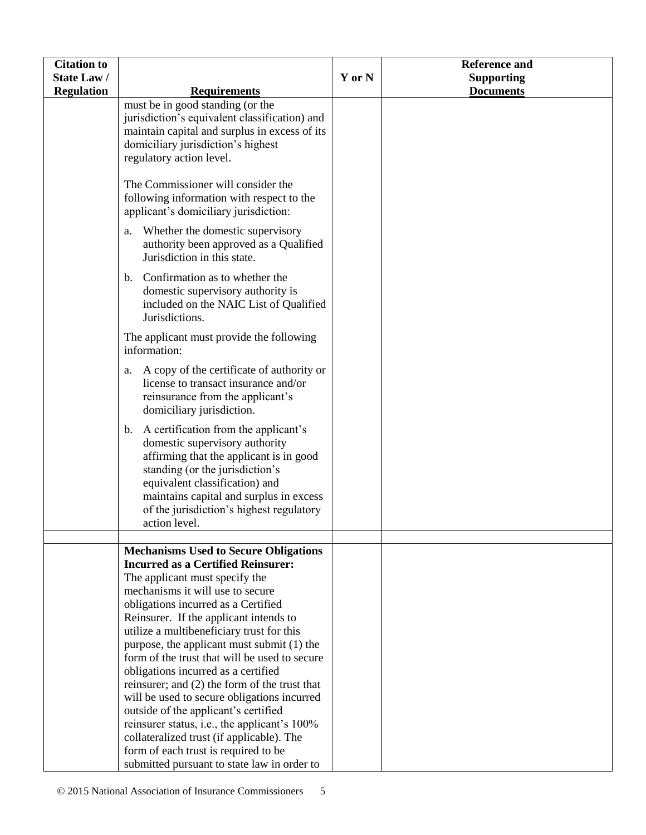| <b>Citation to</b> |                                                                                                                                                                                                                                                                                                                                                                                                                                                                                                                                                                                                                                                                                                                                                                 |        | <b>Reference and</b> |
|--------------------|-----------------------------------------------------------------------------------------------------------------------------------------------------------------------------------------------------------------------------------------------------------------------------------------------------------------------------------------------------------------------------------------------------------------------------------------------------------------------------------------------------------------------------------------------------------------------------------------------------------------------------------------------------------------------------------------------------------------------------------------------------------------|--------|----------------------|
| State Law/         |                                                                                                                                                                                                                                                                                                                                                                                                                                                                                                                                                                                                                                                                                                                                                                 | Y or N | <b>Supporting</b>    |
| <b>Regulation</b>  | <b>Requirements</b>                                                                                                                                                                                                                                                                                                                                                                                                                                                                                                                                                                                                                                                                                                                                             |        | <b>Documents</b>     |
|                    | must be in good standing (or the<br>jurisdiction's equivalent classification) and<br>maintain capital and surplus in excess of its<br>domiciliary jurisdiction's highest<br>regulatory action level.                                                                                                                                                                                                                                                                                                                                                                                                                                                                                                                                                            |        |                      |
|                    | The Commissioner will consider the<br>following information with respect to the<br>applicant's domiciliary jurisdiction:                                                                                                                                                                                                                                                                                                                                                                                                                                                                                                                                                                                                                                        |        |                      |
|                    | Whether the domestic supervisory<br>a.<br>authority been approved as a Qualified<br>Jurisdiction in this state.                                                                                                                                                                                                                                                                                                                                                                                                                                                                                                                                                                                                                                                 |        |                      |
|                    | Confirmation as to whether the<br>b.<br>domestic supervisory authority is<br>included on the NAIC List of Qualified<br>Jurisdictions.                                                                                                                                                                                                                                                                                                                                                                                                                                                                                                                                                                                                                           |        |                      |
|                    | The applicant must provide the following<br>information:                                                                                                                                                                                                                                                                                                                                                                                                                                                                                                                                                                                                                                                                                                        |        |                      |
|                    | A copy of the certificate of authority or<br>a.<br>license to transact insurance and/or<br>reinsurance from the applicant's<br>domiciliary jurisdiction.                                                                                                                                                                                                                                                                                                                                                                                                                                                                                                                                                                                                        |        |                      |
|                    | A certification from the applicant's<br>b.<br>domestic supervisory authority<br>affirming that the applicant is in good<br>standing (or the jurisdiction's<br>equivalent classification) and<br>maintains capital and surplus in excess<br>of the jurisdiction's highest regulatory<br>action level.                                                                                                                                                                                                                                                                                                                                                                                                                                                            |        |                      |
|                    |                                                                                                                                                                                                                                                                                                                                                                                                                                                                                                                                                                                                                                                                                                                                                                 |        |                      |
|                    | <b>Mechanisms Used to Secure Obligations</b><br><b>Incurred as a Certified Reinsurer:</b><br>The applicant must specify the<br>mechanisms it will use to secure<br>obligations incurred as a Certified<br>Reinsurer. If the applicant intends to<br>utilize a multibeneficiary trust for this<br>purpose, the applicant must submit (1) the<br>form of the trust that will be used to secure<br>obligations incurred as a certified<br>reinsurer; and (2) the form of the trust that<br>will be used to secure obligations incurred<br>outside of the applicant's certified<br>reinsurer status, i.e., the applicant's 100%<br>collateralized trust (if applicable). The<br>form of each trust is required to be<br>submitted pursuant to state law in order to |        |                      |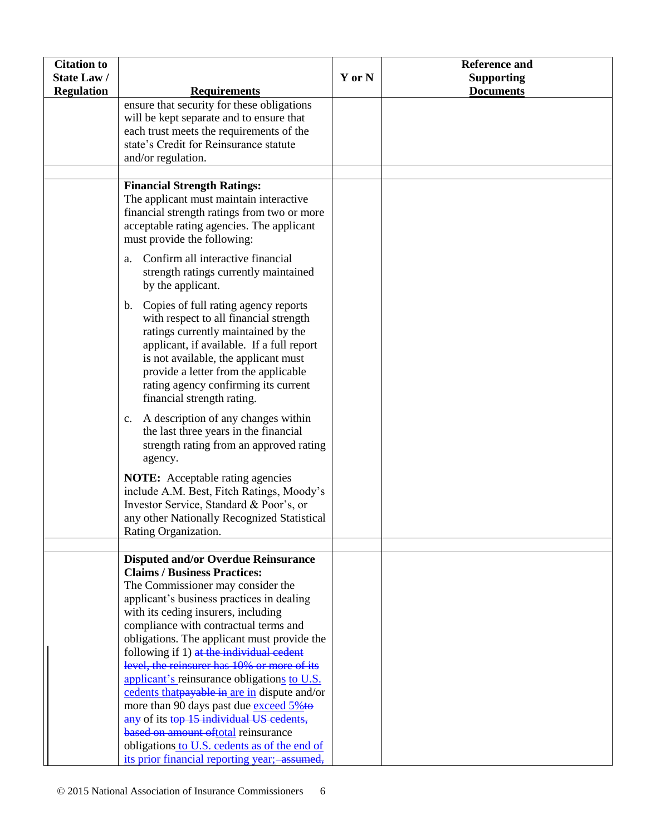| <b>Citation to</b> |                                                                                                                                                                                                                                                                                                                                                                                                                                                                                                                                                                                                                                                                                                                            |        | <b>Reference and</b> |
|--------------------|----------------------------------------------------------------------------------------------------------------------------------------------------------------------------------------------------------------------------------------------------------------------------------------------------------------------------------------------------------------------------------------------------------------------------------------------------------------------------------------------------------------------------------------------------------------------------------------------------------------------------------------------------------------------------------------------------------------------------|--------|----------------------|
| <b>State Law/</b>  |                                                                                                                                                                                                                                                                                                                                                                                                                                                                                                                                                                                                                                                                                                                            | Y or N | <b>Supporting</b>    |
| <b>Regulation</b>  | <b>Requirements</b>                                                                                                                                                                                                                                                                                                                                                                                                                                                                                                                                                                                                                                                                                                        |        | <b>Documents</b>     |
|                    | ensure that security for these obligations<br>will be kept separate and to ensure that<br>each trust meets the requirements of the<br>state's Credit for Reinsurance statute<br>and/or regulation.                                                                                                                                                                                                                                                                                                                                                                                                                                                                                                                         |        |                      |
|                    |                                                                                                                                                                                                                                                                                                                                                                                                                                                                                                                                                                                                                                                                                                                            |        |                      |
|                    | <b>Financial Strength Ratings:</b><br>The applicant must maintain interactive<br>financial strength ratings from two or more<br>acceptable rating agencies. The applicant<br>must provide the following:                                                                                                                                                                                                                                                                                                                                                                                                                                                                                                                   |        |                      |
|                    | Confirm all interactive financial<br>a.<br>strength ratings currently maintained<br>by the applicant.                                                                                                                                                                                                                                                                                                                                                                                                                                                                                                                                                                                                                      |        |                      |
|                    | b. Copies of full rating agency reports<br>with respect to all financial strength<br>ratings currently maintained by the<br>applicant, if available. If a full report<br>is not available, the applicant must<br>provide a letter from the applicable<br>rating agency confirming its current<br>financial strength rating.                                                                                                                                                                                                                                                                                                                                                                                                |        |                      |
|                    | A description of any changes within<br>c.<br>the last three years in the financial<br>strength rating from an approved rating<br>agency.                                                                                                                                                                                                                                                                                                                                                                                                                                                                                                                                                                                   |        |                      |
|                    | <b>NOTE:</b> Acceptable rating agencies<br>include A.M. Best, Fitch Ratings, Moody's<br>Investor Service, Standard & Poor's, or<br>any other Nationally Recognized Statistical<br>Rating Organization.                                                                                                                                                                                                                                                                                                                                                                                                                                                                                                                     |        |                      |
|                    |                                                                                                                                                                                                                                                                                                                                                                                                                                                                                                                                                                                                                                                                                                                            |        |                      |
|                    | <b>Disputed and/or Overdue Reinsurance</b><br><b>Claims / Business Practices:</b><br>The Commissioner may consider the<br>applicant's business practices in dealing<br>with its ceding insurers, including<br>compliance with contractual terms and<br>obligations. The applicant must provide the<br>following if 1) at the individual cedent<br>level, the reinsurer has 10% or more of its<br>applicant's reinsurance obligations to U.S.<br>cedents that payable in are in dispute and/or<br>more than 90 days past due exceed 5%to<br>any of its top 15 individual US cedents,<br>based on amount oftotal reinsurance<br>obligations to U.S. cedents as of the end of<br>its prior financial reporting year; assumed, |        |                      |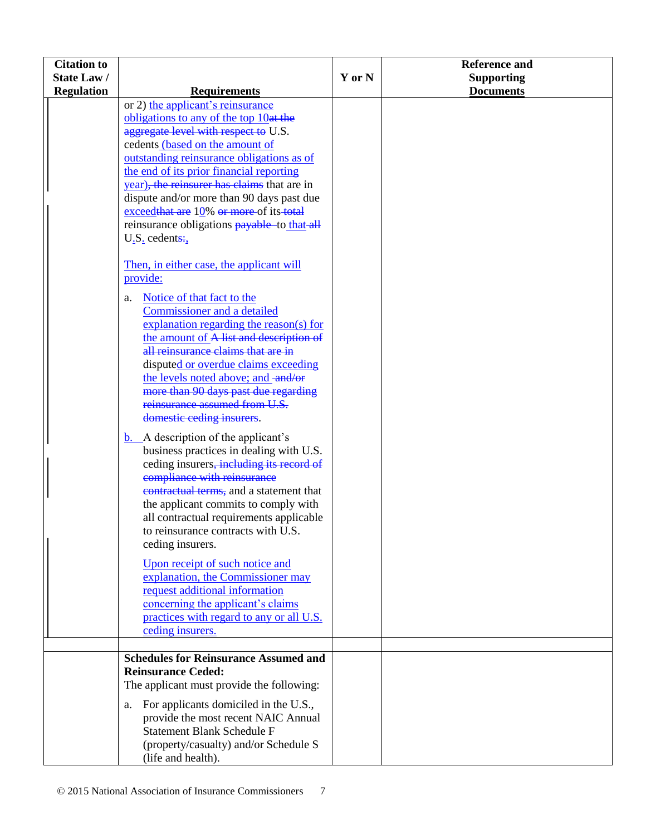| <b>Citation to</b> |                                                                                                                                                                                                                                                                                                                                                                                                                                                                                                                                                                                                                                                                                                                                                                           |        | <b>Reference and</b> |
|--------------------|---------------------------------------------------------------------------------------------------------------------------------------------------------------------------------------------------------------------------------------------------------------------------------------------------------------------------------------------------------------------------------------------------------------------------------------------------------------------------------------------------------------------------------------------------------------------------------------------------------------------------------------------------------------------------------------------------------------------------------------------------------------------------|--------|----------------------|
| State Law/         |                                                                                                                                                                                                                                                                                                                                                                                                                                                                                                                                                                                                                                                                                                                                                                           | Y or N | <b>Supporting</b>    |
| <b>Regulation</b>  | <b>Requirements</b>                                                                                                                                                                                                                                                                                                                                                                                                                                                                                                                                                                                                                                                                                                                                                       |        | <b>Documents</b>     |
|                    | or 2) the applicant's reinsurance<br>obligations to any of the top $10at$ the<br>aggregate level with respect to U.S.<br>cedents (based on the amount of<br>outstanding reinsurance obligations as of<br>the end of its prior financial reporting<br>year), the reinsurer has claims that are in<br>dispute and/or more than 90 days past due<br>$exceed that are 10% or more of its total$<br>reinsurance obligations <b>payable</b> to that all<br>$U_{.}S_{.}$ cedents:<br>Then, in either case, the applicant will<br>provide:<br>Notice of that fact to the<br>a.<br>Commissioner and a detailed<br>explanation regarding the reason(s) for<br>the amount of A list and description of<br>all reinsurance claims that are in<br>disputed or overdue claims exceeding |        |                      |
|                    | the levels noted above; and -and/or<br>more than 90 days past due regarding<br>reinsurance assumed from U.S.<br>domestic ceding insurers.                                                                                                                                                                                                                                                                                                                                                                                                                                                                                                                                                                                                                                 |        |                      |
|                    | $b.$ A description of the applicant's<br>business practices in dealing with U.S.<br>ceding insurers, including its record of<br>compliance with reinsurance<br>contractual terms, and a statement that<br>the applicant commits to comply with<br>all contractual requirements applicable<br>to reinsurance contracts with U.S.<br>ceding insurers.                                                                                                                                                                                                                                                                                                                                                                                                                       |        |                      |
|                    | Upon receipt of such notice and<br>explanation, the Commissioner may<br>request additional information<br>concerning the applicant's claims<br>practices with regard to any or all U.S.<br>ceding insurers.                                                                                                                                                                                                                                                                                                                                                                                                                                                                                                                                                               |        |                      |
|                    |                                                                                                                                                                                                                                                                                                                                                                                                                                                                                                                                                                                                                                                                                                                                                                           |        |                      |
|                    | <b>Schedules for Reinsurance Assumed and</b><br><b>Reinsurance Ceded:</b><br>The applicant must provide the following:                                                                                                                                                                                                                                                                                                                                                                                                                                                                                                                                                                                                                                                    |        |                      |
|                    | For applicants domiciled in the U.S.,<br>a.<br>provide the most recent NAIC Annual<br><b>Statement Blank Schedule F</b><br>(property/casualty) and/or Schedule S<br>(life and health).                                                                                                                                                                                                                                                                                                                                                                                                                                                                                                                                                                                    |        |                      |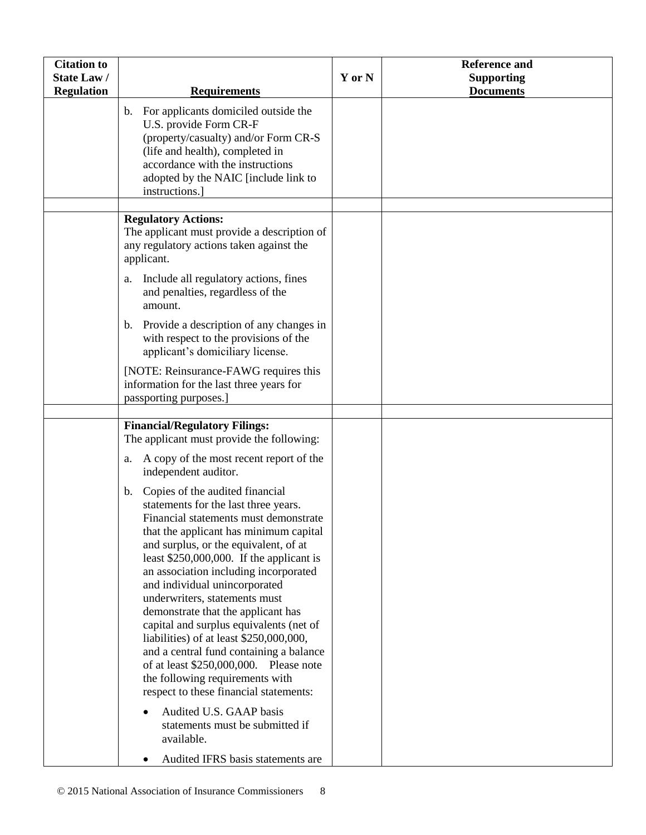| <b>Citation to</b><br><b>State Law/</b><br><b>Regulation</b> | <b>Requirements</b>                                                                                                                                                                                                                                       | Y or N | <b>Reference and</b><br><b>Supporting</b><br><b>Documents</b> |
|--------------------------------------------------------------|-----------------------------------------------------------------------------------------------------------------------------------------------------------------------------------------------------------------------------------------------------------|--------|---------------------------------------------------------------|
|                                                              | For applicants domiciled outside the<br>$\mathbf{b}$ .<br>U.S. provide Form CR-F<br>(property/casualty) and/or Form CR-S<br>(life and health), completed in<br>accordance with the instructions<br>adopted by the NAIC [include link to<br>instructions.] |        |                                                               |
|                                                              | <b>Regulatory Actions:</b><br>The applicant must provide a description of<br>any regulatory actions taken against the<br>applicant.                                                                                                                       |        |                                                               |
|                                                              | Include all regulatory actions, fines<br>a.<br>and penalties, regardless of the<br>amount.                                                                                                                                                                |        |                                                               |
|                                                              | Provide a description of any changes in<br>$b_{\cdot}$<br>with respect to the provisions of the<br>applicant's domiciliary license.                                                                                                                       |        |                                                               |
|                                                              | [NOTE: Reinsurance-FAWG requires this<br>information for the last three years for<br>passporting purposes.]                                                                                                                                               |        |                                                               |
|                                                              |                                                                                                                                                                                                                                                           |        |                                                               |
|                                                              | <b>Financial/Regulatory Filings:</b><br>The applicant must provide the following:                                                                                                                                                                         |        |                                                               |
|                                                              | A copy of the most recent report of the<br>a.<br>independent auditor.                                                                                                                                                                                     |        |                                                               |
|                                                              | Copies of the audited financial<br>$\mathbf{b}$ .                                                                                                                                                                                                         |        |                                                               |
|                                                              | statements for the last three years.<br>Financial statements must demonstrate                                                                                                                                                                             |        |                                                               |
|                                                              | that the applicant has minimum capital                                                                                                                                                                                                                    |        |                                                               |
|                                                              | and surplus, or the equivalent, of at                                                                                                                                                                                                                     |        |                                                               |
|                                                              | least $$250,000,000$ . If the applicant is<br>an association including incorporated                                                                                                                                                                       |        |                                                               |
|                                                              | and individual unincorporated                                                                                                                                                                                                                             |        |                                                               |
|                                                              | underwriters, statements must                                                                                                                                                                                                                             |        |                                                               |
|                                                              | demonstrate that the applicant has<br>capital and surplus equivalents (net of                                                                                                                                                                             |        |                                                               |
|                                                              | liabilities) of at least \$250,000,000,                                                                                                                                                                                                                   |        |                                                               |
|                                                              | and a central fund containing a balance                                                                                                                                                                                                                   |        |                                                               |
|                                                              | of at least \$250,000,000. Please note                                                                                                                                                                                                                    |        |                                                               |
|                                                              | the following requirements with<br>respect to these financial statements:                                                                                                                                                                                 |        |                                                               |
|                                                              | Audited U.S. GAAP basis<br>statements must be submitted if<br>available.                                                                                                                                                                                  |        |                                                               |
|                                                              | Audited IFRS basis statements are                                                                                                                                                                                                                         |        |                                                               |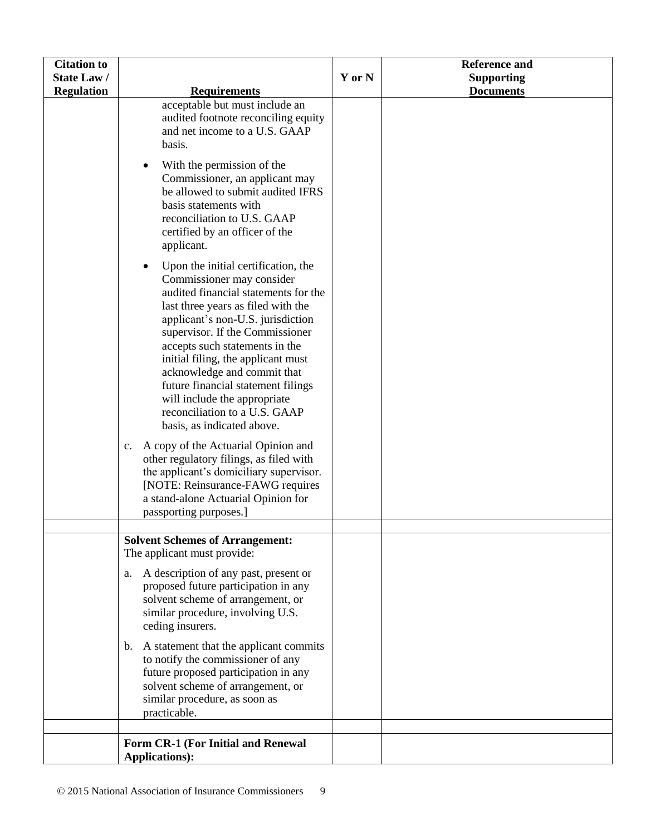| <b>Citation to</b> |                                                                                                                                                                                                                                                                                                                                                                                                                                                                                                                                                                                                                                                                                                                                                |        | <b>Reference and</b> |
|--------------------|------------------------------------------------------------------------------------------------------------------------------------------------------------------------------------------------------------------------------------------------------------------------------------------------------------------------------------------------------------------------------------------------------------------------------------------------------------------------------------------------------------------------------------------------------------------------------------------------------------------------------------------------------------------------------------------------------------------------------------------------|--------|----------------------|
| State Law/         |                                                                                                                                                                                                                                                                                                                                                                                                                                                                                                                                                                                                                                                                                                                                                | Y or N | <b>Supporting</b>    |
| <b>Regulation</b>  | <b>Requirements</b>                                                                                                                                                                                                                                                                                                                                                                                                                                                                                                                                                                                                                                                                                                                            |        | <b>Documents</b>     |
|                    | acceptable but must include an<br>audited footnote reconciling equity<br>and net income to a U.S. GAAP<br>basis.<br>With the permission of the<br>٠<br>Commissioner, an applicant may<br>be allowed to submit audited IFRS<br>basis statements with<br>reconciliation to U.S. GAAP<br>certified by an officer of the                                                                                                                                                                                                                                                                                                                                                                                                                           |        |                      |
|                    | applicant.<br>Upon the initial certification, the<br>$\bullet$<br>Commissioner may consider<br>audited financial statements for the<br>last three years as filed with the<br>applicant's non-U.S. jurisdiction<br>supervisor. If the Commissioner<br>accepts such statements in the<br>initial filing, the applicant must<br>acknowledge and commit that<br>future financial statement filings<br>will include the appropriate<br>reconciliation to a U.S. GAAP<br>basis, as indicated above.<br>A copy of the Actuarial Opinion and<br>$c_{\cdot}$<br>other regulatory filings, as filed with<br>the applicant's domiciliary supervisor.<br>[NOTE: Reinsurance-FAWG requires<br>a stand-alone Actuarial Opinion for<br>passporting purposes.] |        |                      |
|                    |                                                                                                                                                                                                                                                                                                                                                                                                                                                                                                                                                                                                                                                                                                                                                |        |                      |
|                    | <b>Solvent Schemes of Arrangement:</b><br>The applicant must provide:<br>A description of any past, present or<br>a.<br>proposed future participation in any<br>solvent scheme of arrangement, or<br>similar procedure, involving U.S.                                                                                                                                                                                                                                                                                                                                                                                                                                                                                                         |        |                      |
|                    | ceding insurers.<br>b. A statement that the applicant commits<br>to notify the commissioner of any<br>future proposed participation in any<br>solvent scheme of arrangement, or<br>similar procedure, as soon as<br>practicable.                                                                                                                                                                                                                                                                                                                                                                                                                                                                                                               |        |                      |
|                    | Form CR-1 (For Initial and Renewal                                                                                                                                                                                                                                                                                                                                                                                                                                                                                                                                                                                                                                                                                                             |        |                      |
|                    | <b>Applications):</b>                                                                                                                                                                                                                                                                                                                                                                                                                                                                                                                                                                                                                                                                                                                          |        |                      |